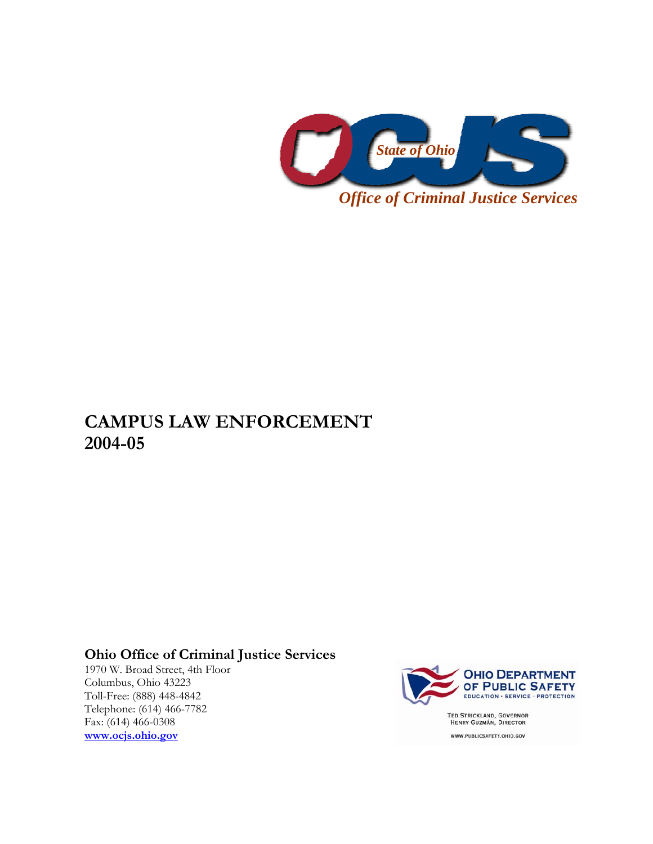

## **CAMPUS LAW ENFORCEMENT 2004-05**

## **Ohio Office of Criminal Justice Services**

1970 W. Broad Street, 4th Floor Columbus, Ohio 43223 Toll-Free: (888) 448-4842 Telephone: (614) 466-7782 Fax: (614) 466-0308 **www.ocjs.ohio.gov**



TED STRICKLAND, GOVERNOR<br>HENRY GUZMÁN, DIRECTOR WWW.PUBLICSAFETY.OHIO.GOV